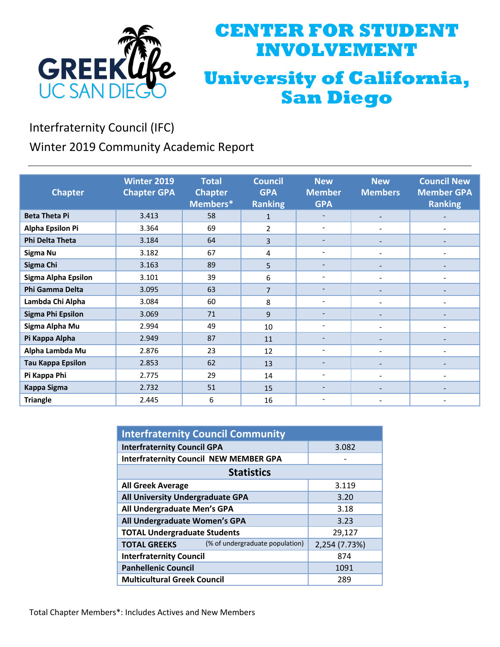

# **CENTER FOR STUDENT INVOLVEMENT University of California, San Diego**

Interfraternity Council (IFC)

Winter 2019 Community Academic Report

| <b>Chapter</b>             | <b>Winter 2019</b><br><b>Chapter GPA</b> | <b>Total</b><br><b>Chapter</b><br>Members* | <b>Council</b><br><b>GPA</b><br><b>Ranking</b> | <b>New</b><br><b>Member</b><br><b>GPA</b> | <b>New</b><br><b>Members</b> | <b>Council New</b><br><b>Member GPA</b><br><b>Ranking</b> |
|----------------------------|------------------------------------------|--------------------------------------------|------------------------------------------------|-------------------------------------------|------------------------------|-----------------------------------------------------------|
| <b>Beta Theta Pi</b>       | 3.413                                    | 58                                         | $\mathbf{1}$                                   | $\overline{\phantom{0}}$                  | $\overline{\phantom{a}}$     |                                                           |
| Alpha Epsilon Pi           | 3.364                                    | 69                                         | $\overline{2}$                                 | $\overline{\phantom{0}}$                  | $\overline{\phantom{a}}$     | $\overline{\phantom{a}}$                                  |
| <b>Phi Delta Theta</b>     | 3.184                                    | 64                                         | 3                                              |                                           | $\overline{\phantom{a}}$     |                                                           |
| Sigma Nu                   | 3.182                                    | 67                                         | 4                                              | $\overline{\phantom{a}}$                  | $\overline{\phantom{a}}$     | $\overline{\phantom{a}}$                                  |
| Sigma Chi                  | 3.163                                    | 89                                         | 5                                              | $\overline{\phantom{a}}$                  | $\overline{\phantom{a}}$     |                                                           |
| <b>Sigma Alpha Epsilon</b> | 3.101                                    | 39                                         | 6                                              | $\overline{\phantom{a}}$                  | $\overline{\phantom{a}}$     | $\overline{\phantom{a}}$                                  |
| Phi Gamma Delta            | 3.095                                    | 63                                         | $\overline{7}$                                 |                                           |                              |                                                           |
| Lambda Chi Alpha           | 3.084                                    | 60                                         | 8                                              | $\overline{\phantom{a}}$                  |                              |                                                           |
| <b>Sigma Phi Epsilon</b>   | 3.069                                    | 71                                         | 9                                              | $\overline{\phantom{a}}$                  |                              |                                                           |
| Sigma Alpha Mu             | 2.994                                    | 49                                         | 10                                             | $\overline{\phantom{a}}$                  |                              |                                                           |
| Pi Kappa Alpha             | 2.949                                    | 87                                         | 11                                             | $\overline{\phantom{a}}$                  |                              |                                                           |
| Alpha Lambda Mu            | 2.876                                    | 23                                         | 12                                             | $\overline{\phantom{a}}$                  |                              |                                                           |
| <b>Tau Kappa Epsilon</b>   | 2.853                                    | 62                                         | 13                                             |                                           |                              |                                                           |
| Pi Kappa Phi               | 2.775                                    | 29                                         | 14                                             | $\overline{\phantom{a}}$                  |                              |                                                           |
| <b>Kappa Sigma</b>         | 2.732                                    | 51                                         | 15                                             |                                           |                              |                                                           |
| <b>Triangle</b>            | 2.445                                    | 6                                          | 16                                             |                                           |                              |                                                           |

| <b>Interfraternity Council Community</b>               |               |  |  |  |
|--------------------------------------------------------|---------------|--|--|--|
| <b>Interfraternity Council GPA</b>                     | 3.082         |  |  |  |
| <b>Interfraternity Council NEW MEMBER GPA</b>          |               |  |  |  |
| <b>Statistics</b>                                      |               |  |  |  |
| <b>All Greek Average</b>                               | 3.119         |  |  |  |
| All University Undergraduate GPA                       | 3.20          |  |  |  |
| All Undergraduate Men's GPA                            | 3.18          |  |  |  |
| All Undergraduate Women's GPA                          | 3.23          |  |  |  |
| <b>TOTAL Undergraduate Students</b>                    | 29,127        |  |  |  |
| (% of undergraduate population)<br><b>TOTAL GREEKS</b> | 2,254 (7.73%) |  |  |  |
| <b>Interfraternity Council</b>                         | 874           |  |  |  |
| <b>Panhellenic Council</b>                             | 1091          |  |  |  |
| <b>Multicultural Greek Council</b>                     | 289           |  |  |  |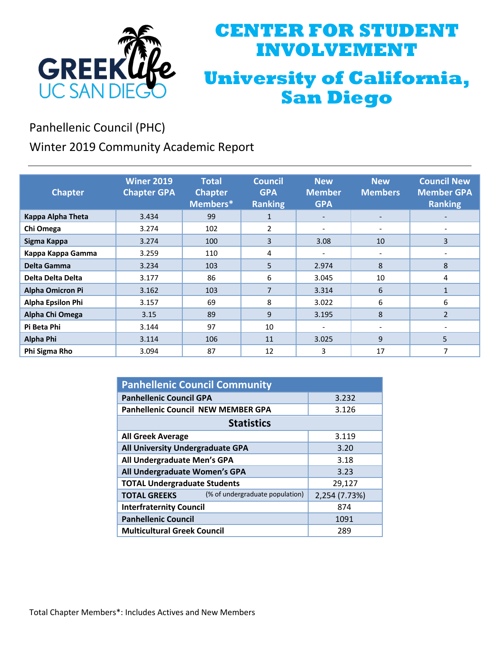

# **CENTER FOR STUDENT INVOLVEMENT University of California, San Diego**

Panhellenic Council (PHC)

Winter 2019 Community Academic Report

| <b>Chapter</b>           | <b>Winer 2019</b><br><b>Chapter GPA</b> | <b>Total</b><br><b>Chapter</b><br>Members* | <b>Council</b><br><b>GPA</b><br><b>Ranking</b> | <b>New</b><br><b>Member</b><br><b>GPA</b> | <b>New</b><br><b>Members</b> | <b>Council New</b><br><b>Member GPA</b><br><b>Ranking</b> |
|--------------------------|-----------------------------------------|--------------------------------------------|------------------------------------------------|-------------------------------------------|------------------------------|-----------------------------------------------------------|
| Kappa Alpha Theta        | 3.434                                   | 99                                         | $\mathbf{1}$                                   | $\overline{\phantom{a}}$                  | $\overline{\phantom{a}}$     |                                                           |
| Chi Omega                | 3.274                                   | 102                                        | $\overline{2}$                                 | $\overline{\phantom{a}}$                  |                              |                                                           |
| Sigma Kappa              | 3.274                                   | 100                                        | 3                                              | 3.08                                      | 10                           | 3                                                         |
| Kappa Kappa Gamma        | 3.259                                   | 110                                        | 4                                              |                                           |                              |                                                           |
| Delta Gamma              | 3.234                                   | 103                                        | 5                                              | 2.974                                     | 8                            | 8                                                         |
| Delta Delta Delta        | 3.177                                   | 86                                         | 6                                              | 3.045                                     | 10                           | 4                                                         |
| <b>Alpha Omicron Pi</b>  | 3.162                                   | 103                                        | 7                                              | 3.314                                     | 6                            | 1                                                         |
| <b>Alpha Epsilon Phi</b> | 3.157                                   | 69                                         | 8                                              | 3.022                                     | 6                            | 6                                                         |
| Alpha Chi Omega          | 3.15                                    | 89                                         | 9                                              | 3.195                                     | 8                            | $\overline{2}$                                            |
| Pi Beta Phi              | 3.144                                   | 97                                         | 10                                             |                                           | $\overline{\phantom{a}}$     |                                                           |
| Alpha Phi                | 3.114                                   | 106                                        | 11                                             | 3.025                                     | 9                            | 5                                                         |
| Phi Sigma Rho            | 3.094                                   | 87                                         | 12                                             | 3                                         | 17                           | 7                                                         |

| <b>Panhellenic Council Community</b>      |                                 |               |  |  |
|-------------------------------------------|---------------------------------|---------------|--|--|
| <b>Panhellenic Council GPA</b>            | 3.232                           |               |  |  |
| <b>Panhellenic Council NEW MEMBER GPA</b> | 3.126                           |               |  |  |
| <b>Statistics</b>                         |                                 |               |  |  |
| <b>All Greek Average</b>                  | 3.119                           |               |  |  |
| All University Undergraduate GPA          | 3.20                            |               |  |  |
| All Undergraduate Men's GPA               | 3.18                            |               |  |  |
| All Undergraduate Women's GPA             | 3.23                            |               |  |  |
| <b>TOTAL Undergraduate Students</b>       | 29,127                          |               |  |  |
| <b>TOTAL GREEKS</b>                       | (% of undergraduate population) | 2,254 (7.73%) |  |  |
| <b>Interfraternity Council</b>            | 874                             |               |  |  |
| <b>Panhellenic Council</b>                | 1091                            |               |  |  |
| <b>Multicultural Greek Council</b>        | 289                             |               |  |  |